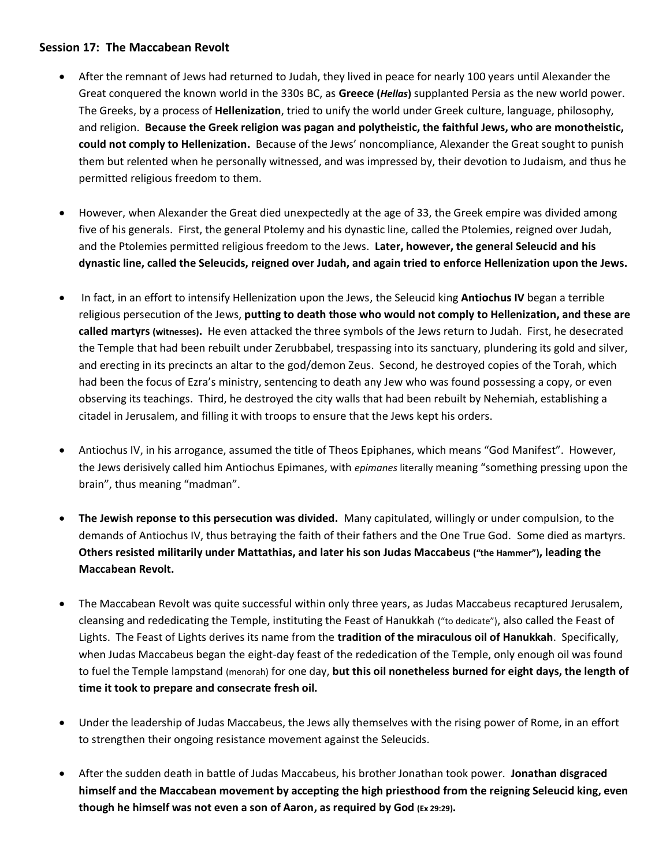## **Session 17: The Maccabean Revolt**

- After the remnant of Jews had returned to Judah, they lived in peace for nearly 100 years until Alexander the Great conquered the known world in the 330s BC, as **Greece (***Hellas***)** supplanted Persia as the new world power. The Greeks, by a process of **Hellenization**, tried to unify the world under Greek culture, language, philosophy, and religion. **Because the Greek religion was pagan and polytheistic, the faithful Jews, who are monotheistic, could not comply to Hellenization.** Because of the Jews' noncompliance, Alexander the Great sought to punish them but relented when he personally witnessed, and was impressed by, their devotion to Judaism, and thus he permitted religious freedom to them.
- However, when Alexander the Great died unexpectedly at the age of 33, the Greek empire was divided among five of his generals. First, the general Ptolemy and his dynastic line, called the Ptolemies, reigned over Judah, and the Ptolemies permitted religious freedom to the Jews. **Later, however, the general Seleucid and his dynastic line, called the Seleucids, reigned over Judah, and again tried to enforce Hellenization upon the Jews.**
- In fact, in an effort to intensify Hellenization upon the Jews, the Seleucid king **Antiochus IV** began a terrible religious persecution of the Jews, **putting to death those who would not comply to Hellenization, and these are called martyrs (witnesses).** He even attacked the three symbols of the Jews return to Judah. First, he desecrated the Temple that had been rebuilt under Zerubbabel, trespassing into its sanctuary, plundering its gold and silver, and erecting in its precincts an altar to the god/demon Zeus. Second, he destroyed copies of the Torah, which had been the focus of Ezra's ministry, sentencing to death any Jew who was found possessing a copy, or even observing its teachings. Third, he destroyed the city walls that had been rebuilt by Nehemiah, establishing a citadel in Jerusalem, and filling it with troops to ensure that the Jews kept his orders.
- Antiochus IV, in his arrogance, assumed the title of Theos Epiphanes, which means "God Manifest". However, the Jews derisively called him Antiochus Epimanes, with *epimanes* literally meaning "something pressing upon the brain", thus meaning "madman".
- **The Jewish reponse to this persecution was divided.** Many capitulated, willingly or under compulsion, to the demands of Antiochus IV, thus betraying the faith of their fathers and the One True God. Some died as martyrs. **Others resisted militarily under Mattathias, and later his son Judas Maccabeus ("the Hammer"), leading the Maccabean Revolt.**
- The Maccabean Revolt was quite successful within only three years, as Judas Maccabeus recaptured Jerusalem, cleansing and rededicating the Temple, instituting the Feast of Hanukkah ("to dedicate"), also called the Feast of Lights. The Feast of Lights derives its name from the **tradition of the miraculous oil of Hanukkah**. Specifically, when Judas Maccabeus began the eight-day feast of the rededication of the Temple, only enough oil was found to fuel the Temple lampstand (menorah) for one day, **but this oil nonetheless burned for eight days, the length of time it took to prepare and consecrate fresh oil.**
- Under the leadership of Judas Maccabeus, the Jews ally themselves with the rising power of Rome, in an effort to strengthen their ongoing resistance movement against the Seleucids.
- After the sudden death in battle of Judas Maccabeus, his brother Jonathan took power. **Jonathan disgraced himself and the Maccabean movement by accepting the high priesthood from the reigning Seleucid king, even though he himself was not even a son of Aaron, as required by God (Ex 29:29).**